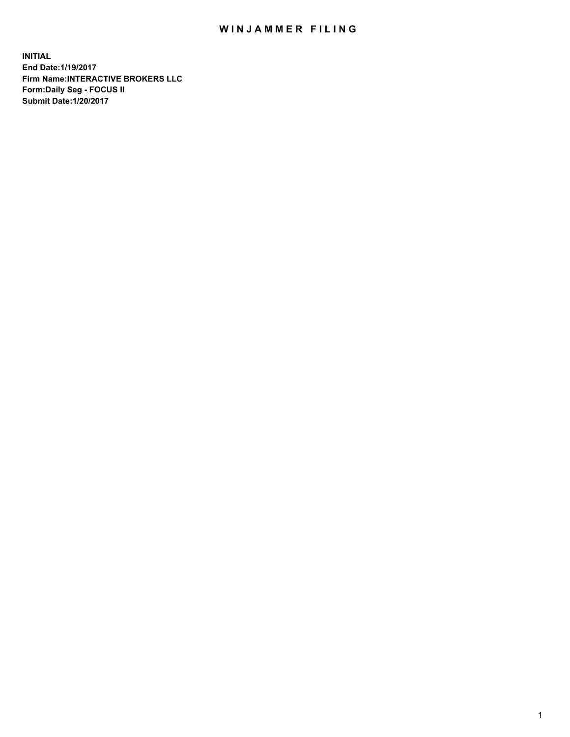## WIN JAMMER FILING

**INITIAL End Date:1/19/2017 Firm Name:INTERACTIVE BROKERS LLC Form:Daily Seg - FOCUS II Submit Date:1/20/2017**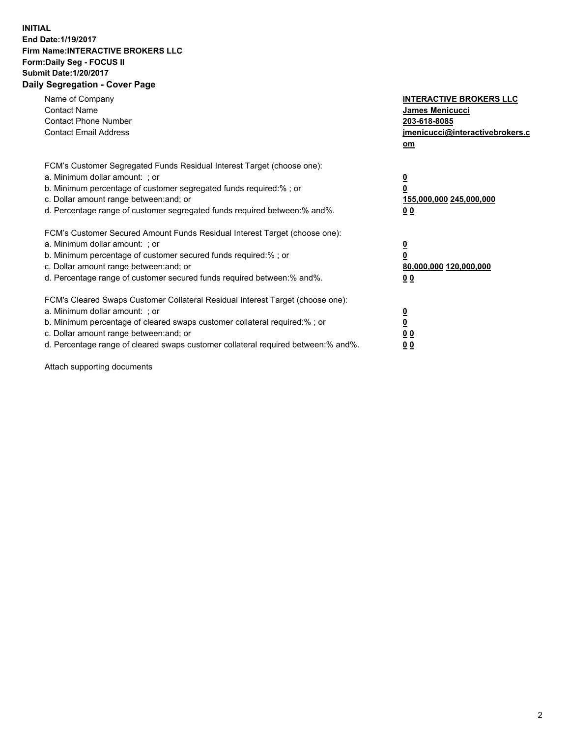## **INITIAL End Date:1/19/2017 Firm Name:INTERACTIVE BROKERS LLC Form:Daily Seg - FOCUS II Submit Date:1/20/2017 Daily Segregation - Cover Page**

| Name of Company<br><b>Contact Name</b><br><b>Contact Phone Number</b><br><b>Contact Email Address</b>                                                                                                                                                                                                                          | <b>INTERACTIVE BROKERS LLC</b><br>James Menicucci<br>203-618-8085<br>jmenicucci@interactivebrokers.c<br>om |
|--------------------------------------------------------------------------------------------------------------------------------------------------------------------------------------------------------------------------------------------------------------------------------------------------------------------------------|------------------------------------------------------------------------------------------------------------|
| FCM's Customer Segregated Funds Residual Interest Target (choose one):<br>a. Minimum dollar amount: ; or<br>b. Minimum percentage of customer segregated funds required:%; or<br>c. Dollar amount range between: and; or<br>d. Percentage range of customer segregated funds required between:% and%.                          | $\overline{\mathbf{0}}$<br>0<br>155,000,000 245,000,000<br>0 <sub>0</sub>                                  |
| FCM's Customer Secured Amount Funds Residual Interest Target (choose one):<br>a. Minimum dollar amount: ; or<br>b. Minimum percentage of customer secured funds required:%; or<br>c. Dollar amount range between: and; or<br>d. Percentage range of customer secured funds required between:% and%.                            | $\overline{\mathbf{0}}$<br>$\overline{\mathbf{0}}$<br>80,000,000 120,000,000<br>00                         |
| FCM's Cleared Swaps Customer Collateral Residual Interest Target (choose one):<br>a. Minimum dollar amount: ; or<br>b. Minimum percentage of cleared swaps customer collateral required:% ; or<br>c. Dollar amount range between: and; or<br>d. Percentage range of cleared swaps customer collateral required between:% and%. | $\overline{\mathbf{0}}$<br>$\overline{\mathbf{0}}$<br>0 <sub>0</sub><br><u>00</u>                          |

Attach supporting documents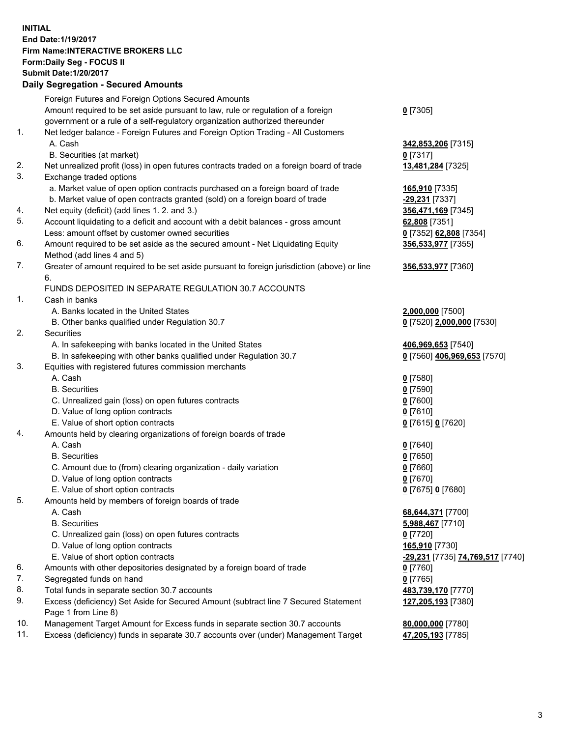## **INITIAL End Date:1/19/2017 Firm Name:INTERACTIVE BROKERS LLC Form:Daily Seg - FOCUS II Submit Date:1/20/2017**

Page 1 from Line 8)

## **Daily Segregation - Secured Amounts** Foreign Futures and Foreign Options Secured Amounts Amount required to be set aside pursuant to law, rule or regulation of a foreign government or a rule of a self-regulatory organization authorized thereunder **0** [7305] 1. Net ledger balance - Foreign Futures and Foreign Option Trading - All Customers A. Cash **342,853,206** [7315] B. Securities (at market) **0** [7317] 2. Net unrealized profit (loss) in open futures contracts traded on a foreign board of trade **13,481,284** [7325] 3. Exchange traded options a. Market value of open option contracts purchased on a foreign board of trade **165,910** [7335] b. Market value of open contracts granted (sold) on a foreign board of trade **-29,231** [7337] 4. Net equity (deficit) (add lines 1. 2. and 3.) **356,471,169** [7345] 5. Account liquidating to a deficit and account with a debit balances - gross amount **62,808** [7351] Less: amount offset by customer owned securities **0** [7352] **62,808** [7354] 6. Amount required to be set aside as the secured amount - Net Liquidating Equity Method (add lines 4 and 5) **356,533,977** [7355] 7. Greater of amount required to be set aside pursuant to foreign jurisdiction (above) or line 6. **356,533,977** [7360] FUNDS DEPOSITED IN SEPARATE REGULATION 30.7 ACCOUNTS 1. Cash in banks A. Banks located in the United States **2,000,000** [7500] B. Other banks qualified under Regulation 30.7 **0** [7520] **2,000,000** [7530] 2. Securities A. In safekeeping with banks located in the United States **406,969,653** [7540] B. In safekeeping with other banks qualified under Regulation 30.7 **0** [7560] **406,969,653** [7570] 3. Equities with registered futures commission merchants A. Cash **0** [7580] B. Securities **0** [7590] C. Unrealized gain (loss) on open futures contracts **0** [7600] D. Value of long option contracts **0** [7610] E. Value of short option contracts **0** [7615] **0** [7620] 4. Amounts held by clearing organizations of foreign boards of trade A. Cash **0** [7640] B. Securities **0** [7650] C. Amount due to (from) clearing organization - daily variation **0** [7660] D. Value of long option contracts **0** [7670] E. Value of short option contracts **0** [7675] **0** [7680] 5. Amounts held by members of foreign boards of trade A. Cash **68,644,371** [7700] B. Securities **5,988,467** [7710] C. Unrealized gain (loss) on open futures contracts **0** [7720] D. Value of long option contracts **165,910** [7730] E. Value of short option contracts **-29,231** [7735] **74,769,517** [7740] 6. Amounts with other depositories designated by a foreign board of trade **0** [7760] 7. Segregated funds on hand **0** [7765] 8. Total funds in separate section 30.7 accounts **483,739,170** [7770] 9. Excess (deficiency) Set Aside for Secured Amount (subtract line 7 Secured Statement **127,205,193** [7380]

10. Management Target Amount for Excess funds in separate section 30.7 accounts **80,000,000** [7780] 11. Excess (deficiency) funds in separate 30.7 accounts over (under) Management Target **47,205,193** [7785]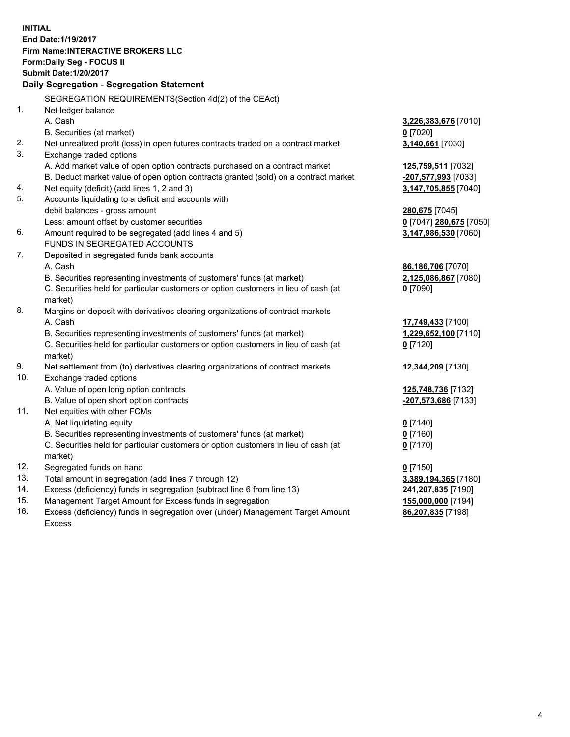**INITIAL End Date:1/19/2017 Firm Name:INTERACTIVE BROKERS LLC Form:Daily Seg - FOCUS II Submit Date:1/20/2017 Daily Segregation - Segregation Statement** SEGREGATION REQUIREMENTS(Section 4d(2) of the CEAct) 1. Net ledger balance A. Cash **3,226,383,676** [7010] B. Securities (at market) **0** [7020] 2. Net unrealized profit (loss) in open futures contracts traded on a contract market **3,140,661** [7030] 3. Exchange traded options A. Add market value of open option contracts purchased on a contract market **125,759,511** [7032] B. Deduct market value of open option contracts granted (sold) on a contract market **-207,577,993** [7033] 4. Net equity (deficit) (add lines 1, 2 and 3) **3,147,705,855** [7040] 5. Accounts liquidating to a deficit and accounts with debit balances - gross amount **280,675** [7045] Less: amount offset by customer securities **0** [7047] **280,675** [7050] 6. Amount required to be segregated (add lines 4 and 5) **3,147,986,530** [7060] FUNDS IN SEGREGATED ACCOUNTS 7. Deposited in segregated funds bank accounts A. Cash **86,186,706** [7070] B. Securities representing investments of customers' funds (at market) **2,125,086,867** [7080] C. Securities held for particular customers or option customers in lieu of cash (at market) **0** [7090] 8. Margins on deposit with derivatives clearing organizations of contract markets A. Cash **17,749,433** [7100] B. Securities representing investments of customers' funds (at market) **1,229,652,100** [7110] C. Securities held for particular customers or option customers in lieu of cash (at market) **0** [7120] 9. Net settlement from (to) derivatives clearing organizations of contract markets **12,344,209** [7130] 10. Exchange traded options A. Value of open long option contracts **125,748,736** [7132] B. Value of open short option contracts **-207,573,686** [7133] 11. Net equities with other FCMs A. Net liquidating equity **0** [7140] B. Securities representing investments of customers' funds (at market) **0** [7160] C. Securities held for particular customers or option customers in lieu of cash (at market) **0** [7170] 12. Segregated funds on hand **0** [7150] 13. Total amount in segregation (add lines 7 through 12) **3,389,194,365** [7180] 14. Excess (deficiency) funds in segregation (subtract line 6 from line 13) **241,207,835** [7190] 15. Management Target Amount for Excess funds in segregation **155,000,000** [7194] **86,207,835** [7198]

16. Excess (deficiency) funds in segregation over (under) Management Target Amount Excess